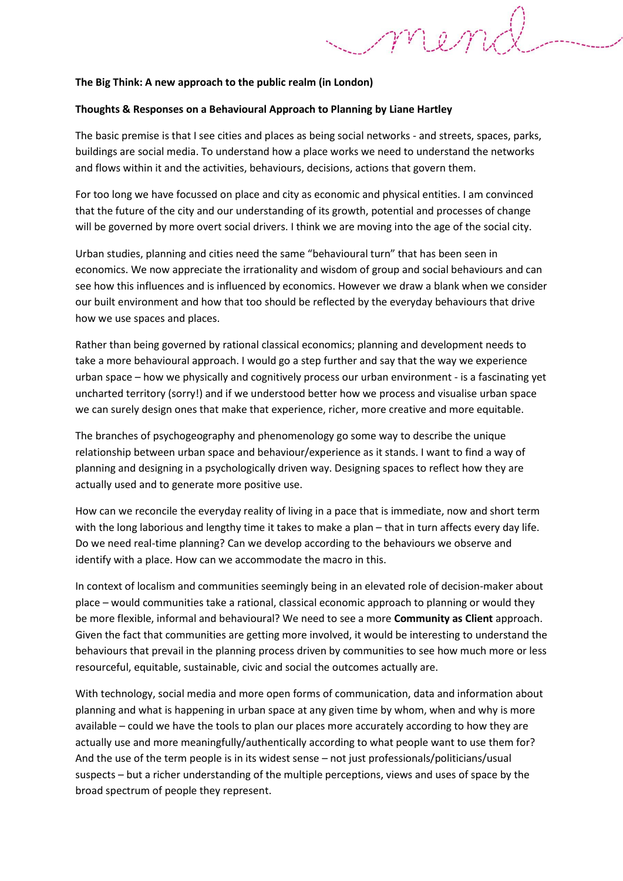### **The Big Think: A new approach to the public realm (in London)**

### **Thoughts & Responses on a Behavioural Approach to Planning by Liane Hartley**

The basic premise is that I see cities and places as being social networks - and streets, spaces, parks, buildings are social media. To understand how a place works we need to understand the networks and flows within it and the activities, behaviours, decisions, actions that govern them.

For too long we have focussed on place and city as economic and physical entities. I am convinced that the future of the city and our understanding of its growth, potential and processes of change will be governed by more overt social drivers. I think we are moving into the age of the social city.

Urban studies, planning and cities need the same "behavioural turn" that has been seen in economics. We now appreciate the irrationality and wisdom of group and social behaviours and can see how this influences and is influenced by economics. However we draw a blank when we consider our built environment and how that too should be reflected by the everyday behaviours that drive how we use spaces and places.

Rather than being governed by rational classical economics; planning and development needs to take a more behavioural approach. I would go a step further and say that the way we experience urban space – how we physically and cognitively process our urban environment - is a fascinating yet uncharted territory (sorry!) and if we understood better how we process and visualise urban space we can surely design ones that make that experience, richer, more creative and more equitable.

The branches of psychogeography and phenomenology go some way to describe the unique relationship between urban space and behaviour/experience as it stands. I want to find a way of planning and designing in a psychologically driven way. Designing spaces to reflect how they are actually used and to generate more positive use.

How can we reconcile the everyday reality of living in a pace that is immediate, now and short term with the long laborious and lengthy time it takes to make a plan – that in turn affects every day life. Do we need real-time planning? Can we develop according to the behaviours we observe and identify with a place. How can we accommodate the macro in this.

In context of localism and communities seemingly being in an elevated role of decision-maker about place – would communities take a rational, classical economic approach to planning or would they be more flexible, informal and behavioural? We need to see a more **Community as Client** approach. Given the fact that communities are getting more involved, it would be interesting to understand the behaviours that prevail in the planning process driven by communities to see how much more or less resourceful, equitable, sustainable, civic and social the outcomes actually are.

With technology, social media and more open forms of communication, data and information about planning and what is happening in urban space at any given time by whom, when and why is more available – could we have the tools to plan our places more accurately according to how they are actually use and more meaningfully/authentically according to what people want to use them for? And the use of the term people is in its widest sense – not just professionals/politicians/usual suspects – but a richer understanding of the multiple perceptions, views and uses of space by the broad spectrum of people they represent.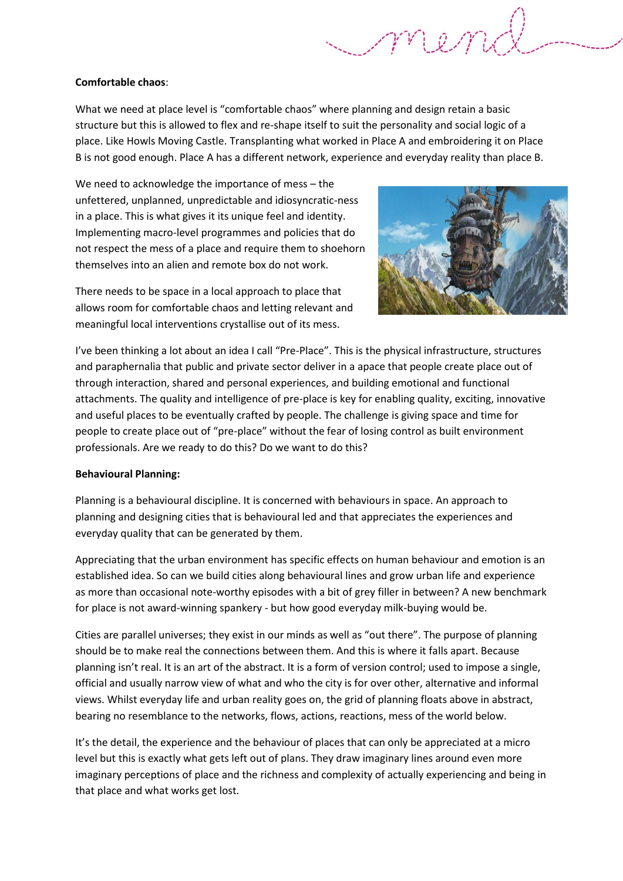# **Comfortable chaos**:

What we need at place level is "comfortable chaos" where planning and design retain a basic structure but this is allowed to flex and re-shape itself to suit the personality and social logic of a place. Like Howls Moving Castle. Transplanting what worked in Place A and embroidering it on Place B is not good enough. Place A has a different network, experience and everyday reality than place B.

We need to acknowledge the importance of mess – the unfettered, unplanned, unpredictable and idiosyncratic-ness in a place. This is what gives it its unique feel and identity. Implementing macro-level programmes and policies that do not respect the mess of a place and require them to shoehorn themselves into an alien and remote box do not work.

There needs to be space in a local approach to place that allows room for comfortable chaos and letting relevant and meaningful local interventions crystallise out of its mess.



I've been thinking a lot about an idea I call "Pre-Place". This is the physical infrastructure, structures and paraphernalia that public and private sector deliver in a apace that people create place out of through interaction, shared and personal experiences, and building emotional and functional attachments. The quality and intelligence of pre-place is key for enabling quality, exciting, innovative and useful places to be eventually crafted by people. The challenge is giving space and time for people to create place out of "pre-place" without the fear of losing control as built environment professionals. Are we ready to do this? Do we want to do this?

## **Behavioural Planning:**

Planning is a behavioural discipline. It is concerned with behaviours in space. An approach to planning and designing cities that is behavioural led and that appreciates the experiences and everyday quality that can be generated by them.

Appreciating that the urban environment has specific effects on human behaviour and emotion is an established idea. So can we build cities along behavioural lines and grow urban life and experience as more than occasional note-worthy episodes with a bit of grey filler in between? A new benchmark for place is not award-winning spankery - but how good everyday milk-buying would be.

Cities are parallel universes; they exist in our minds as well as "out there". The purpose of planning should be to make real the connections between them. And this is where it falls apart. Because planning isn't real. It is an art of the abstract. It is a form of version control; used to impose a single, official and usually narrow view of what and who the city is for over other, alternative and informal views. Whilst everyday life and urban reality goes on, the grid of planning floats above in abstract, bearing no resemblance to the networks, flows, actions, reactions, mess of the world below.

It's the detail, the experience and the behaviour of places that can only be appreciated at a micro level but this is exactly what gets left out of plans. They draw imaginary lines around even more imaginary perceptions of place and the richness and complexity of actually experiencing and being in that place and what works get lost.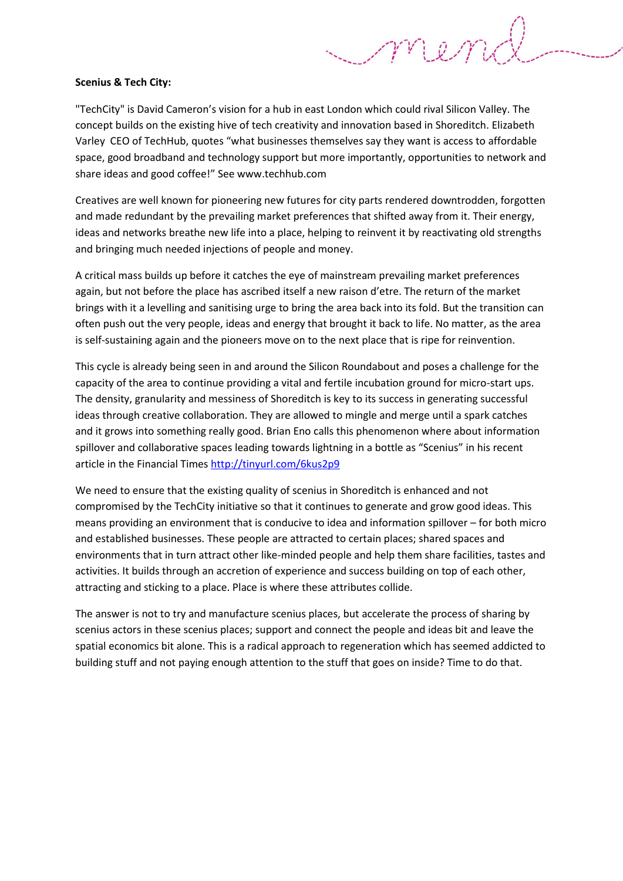# **Scenius & Tech City:**

"TechCity" is David Cameron's vision for a hub in east London which could rival Silicon Valley. The concept builds on the existing hive of tech creativity and innovation based in Shoreditch. Elizabeth Varley CEO of TechHub, quotes "what businesses themselves say they want is access to affordable space, good broadband and technology support but more importantly, opportunities to network and share ideas and good coffee!" See www.techhub.com

MRA

Creatives are well known for pioneering new futures for city parts rendered downtrodden, forgotten and made redundant by the prevailing market preferences that shifted away from it. Their energy, ideas and networks breathe new life into a place, helping to reinvent it by reactivating old strengths and bringing much needed injections of people and money.

A critical mass builds up before it catches the eye of mainstream prevailing market preferences again, but not before the place has ascribed itself a new raison d'etre. The return of the market brings with it a levelling and sanitising urge to bring the area back into its fold. But the transition can often push out the very people, ideas and energy that brought it back to life. No matter, as the area is self-sustaining again and the pioneers move on to the next place that is ripe for reinvention.

This cycle is already being seen in and around the Silicon Roundabout and poses a challenge for the capacity of the area to continue providing a vital and fertile incubation ground for micro-start ups. The density, granularity and messiness of Shoreditch is key to its success in generating successful ideas through creative collaboration. They are allowed to mingle and merge until a spark catches and it grows into something really good. Brian Eno calls this phenomenon where about information spillover and collaborative spaces leading towards lightning in a bottle as "Scenius" in his recent article in the Financial Times<http://tinyurl.com/6kus2p9>

We need to ensure that the existing quality of scenius in Shoreditch is enhanced and not compromised by the TechCity initiative so that it continues to generate and grow good ideas. This means providing an environment that is conducive to idea and information spillover – for both micro and established businesses. These people are attracted to certain places; shared spaces and environments that in turn attract other like-minded people and help them share facilities, tastes and activities. It builds through an accretion of experience and success building on top of each other, attracting and sticking to a place. Place is where these attributes collide.

The answer is not to try and manufacture scenius places, but accelerate the process of sharing by scenius actors in these scenius places; support and connect the people and ideas bit and leave the spatial economics bit alone. This is a radical approach to regeneration which has seemed addicted to building stuff and not paying enough attention to the stuff that goes on inside? Time to do that.